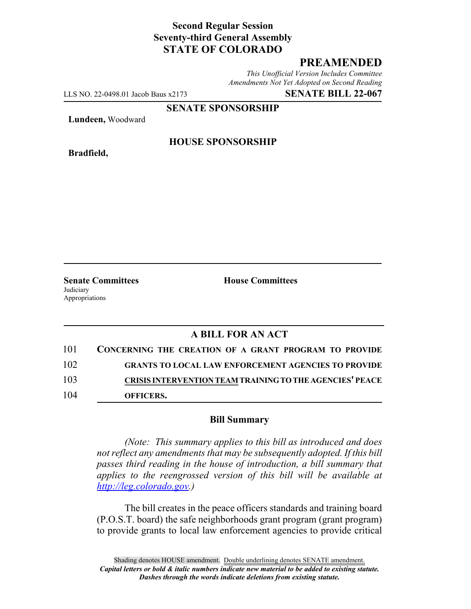# **Second Regular Session Seventy-third General Assembly STATE OF COLORADO**

## **PREAMENDED**

*This Unofficial Version Includes Committee Amendments Not Yet Adopted on Second Reading*

LLS NO. 22-0498.01 Jacob Baus x2173 **SENATE BILL 22-067**

**SENATE SPONSORSHIP**

**Lundeen,** Woodward

**Bradfield,**

#### **HOUSE SPONSORSHIP**

**Senate Committees House Committees Judiciary** Appropriations

# **A BILL FOR AN ACT**

| 101 | CONCERNING THE CREATION OF A GRANT PROGRAM TO PROVIDE           |
|-----|-----------------------------------------------------------------|
| 102 | <b>GRANTS TO LOCAL LAW ENFORCEMENT AGENCIES TO PROVIDE</b>      |
| 103 | <b>CRISIS INTERVENTION TEAM TRAINING TO THE AGENCIES' PEACE</b> |
| 104 | OFFICERS.                                                       |

#### **Bill Summary**

*(Note: This summary applies to this bill as introduced and does not reflect any amendments that may be subsequently adopted. If this bill passes third reading in the house of introduction, a bill summary that applies to the reengrossed version of this bill will be available at http://leg.colorado.gov.)*

The bill creates in the peace officers standards and training board (P.O.S.T. board) the safe neighborhoods grant program (grant program) to provide grants to local law enforcement agencies to provide critical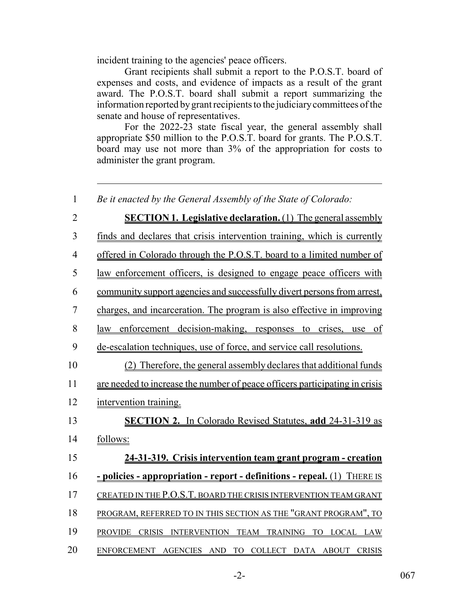incident training to the agencies' peace officers.

Grant recipients shall submit a report to the P.O.S.T. board of expenses and costs, and evidence of impacts as a result of the grant award. The P.O.S.T. board shall submit a report summarizing the information reported by grant recipients to the judiciary committees of the senate and house of representatives.

For the 2022-23 state fiscal year, the general assembly shall appropriate \$50 million to the P.O.S.T. board for grants. The P.O.S.T. board may use not more than 3% of the appropriation for costs to administer the grant program.

 *Be it enacted by the General Assembly of the State of Colorado:* **SECTION 1. Legislative declaration.** (1) The general assembly finds and declares that crisis intervention training, which is currently offered in Colorado through the P.O.S.T. board to a limited number of law enforcement officers, is designed to engage peace officers with community support agencies and successfully divert persons from arrest, charges, and incarceration. The program is also effective in improving law enforcement decision-making, responses to crises, use of de-escalation techniques, use of force, and service call resolutions. (2) Therefore, the general assembly declares that additional funds are needed to increase the number of peace officers participating in crisis intervention training. **SECTION 2.** In Colorado Revised Statutes, **add** 24-31-319 as 14 follows: **24-31-319. Crisis intervention team grant program - creation - policies - appropriation - report - definitions - repeal.** (1) THERE IS 17 CREATED IN THE P.O.S.T. BOARD THE CRISIS INTERVENTION TEAM GRANT 18 PROGRAM, REFERRED TO IN THIS SECTION AS THE "GRANT PROGRAM", TO PROVIDE CRISIS INTERVENTION TEAM TRAINING TO LOCAL LAW

20 ENFORCEMENT AGENCIES AND TO COLLECT DATA ABOUT CRISIS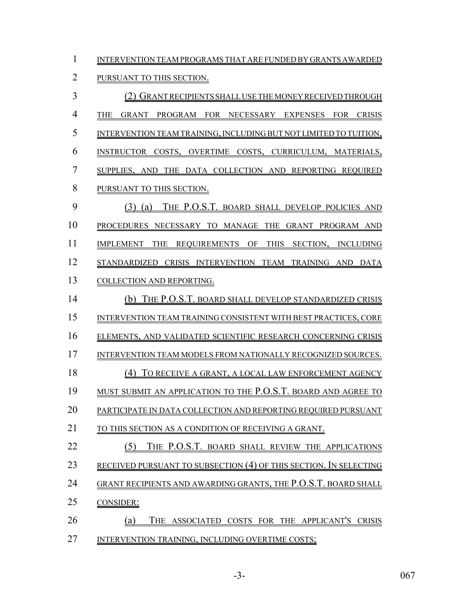INTERVENTION TEAM PROGRAMS THAT ARE FUNDED BY GRANTS AWARDED

## PURSUANT TO THIS SECTION.

 (2) GRANT RECIPIENTS SHALL USE THE MONEY RECEIVED THROUGH THE GRANT PROGRAM FOR NECESSARY EXPENSES FOR CRISIS INTERVENTION TEAM TRAINING, INCLUDING BUT NOT LIMITED TO TUITION, INSTRUCTOR COSTS, OVERTIME COSTS, CURRICULUM, MATERIALS, SUPPLIES, AND THE DATA COLLECTION AND REPORTING REQUIRED PURSUANT TO THIS SECTION. (3) (a) THE P.O.S.T. BOARD SHALL DEVELOP POLICIES AND PROCEDURES NECESSARY TO MANAGE THE GRANT PROGRAM AND 11 IMPLEMENT THE REQUIREMENTS OF THIS SECTION, INCLUDING STANDARDIZED CRISIS INTERVENTION TEAM TRAINING AND DATA COLLECTION AND REPORTING. (b) THE P.O.S.T. BOARD SHALL DEVELOP STANDARDIZED CRISIS INTERVENTION TEAM TRAINING CONSISTENT WITH BEST PRACTICES, CORE ELEMENTS, AND VALIDATED SCIENTIFIC RESEARCH CONCERNING CRISIS 17 INTERVENTION TEAM MODELS FROM NATIONALLY RECOGNIZED SOURCES. (4) TO RECEIVE A GRANT, A LOCAL LAW ENFORCEMENT AGENCY MUST SUBMIT AN APPLICATION TO THE P.O.S.T. BOARD AND AGREE TO PARTICIPATE IN DATA COLLECTION AND REPORTING REQUIRED PURSUANT 21 TO THIS SECTION AS A CONDITION OF RECEIVING A GRANT. 22 (5) THE P.O.S.T. BOARD SHALL REVIEW THE APPLICATIONS RECEIVED PURSUANT TO SUBSECTION (4) OF THIS SECTION. IN SELECTING GRANT RECIPIENTS AND AWARDING GRANTS, THE P.O.S.T. BOARD SHALL CONSIDER: (a) THE ASSOCIATED COSTS FOR THE APPLICANT'S CRISIS 27 INTERVENTION TRAINING, INCLUDING OVERTIME COSTS;

-3- 067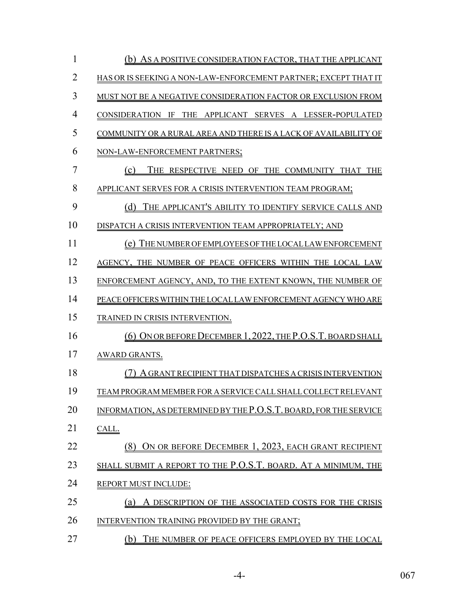| 1              | (b) AS A POSITIVE CONSIDERATION FACTOR, THAT THE APPLICANT        |
|----------------|-------------------------------------------------------------------|
| $\overline{2}$ | HAS OR IS SEEKING A NON-LAW-ENFORCEMENT PARTNER; EXCEPT THAT IT   |
| 3              | MUST NOT BE A NEGATIVE CONSIDERATION FACTOR OR EXCLUSION FROM     |
| $\overline{4}$ | CONSIDERATION IF THE APPLICANT SERVES A LESSER-POPULATED          |
| 5              | COMMUNITY OR A RURAL AREA AND THERE IS A LACK OF AVAILABILITY OF  |
| 6              | NON-LAW-ENFORCEMENT PARTNERS;                                     |
| 7              | (c)<br>THE RESPECTIVE NEED OF THE COMMUNITY THAT THE              |
| 8              | APPLICANT SERVES FOR A CRISIS INTERVENTION TEAM PROGRAM;          |
| 9              | (d)<br>THE APPLICANT'S ABILITY TO IDENTIFY SERVICE CALLS AND      |
| 10             | DISPATCH A CRISIS INTERVENTION TEAM APPROPRIATELY; AND            |
| 11             | (e) THE NUMBER OF EMPLOYEES OF THE LOCAL LAW ENFORCEMENT          |
| 12             | AGENCY, THE NUMBER OF PEACE OFFICERS WITHIN THE LOCAL LAW         |
| 13             | ENFORCEMENT AGENCY, AND, TO THE EXTENT KNOWN, THE NUMBER OF       |
| 14             | PEACE OFFICERS WITHIN THE LOCAL LAW ENFORCEMENT AGENCY WHO ARE    |
| 15             | <b>TRAINED IN CRISIS INTERVENTION.</b>                            |
| 16             | (6) ON OR BEFORE DECEMBER 1, 2022, THE P.O.S.T. BOARD SHALL       |
| 17             | <b>AWARD GRANTS.</b>                                              |
| 18             | A GRANT RECIPIENT THAT DISPATCHES A CRISIS INTERVENTION           |
| 19             | TEAM PROGRAM MEMBER FOR A SERVICE CALL SHALL COLLECT RELEVANT     |
| 20             | INFORMATION, AS DETERMINED BY THE P.O.S.T. BOARD, FOR THE SERVICE |
| 21             | CALL.                                                             |
| 22             | (8) ON OR BEFORE DECEMBER 1, 2023, EACH GRANT RECIPIENT           |
| 23             | SHALL SUBMIT A REPORT TO THE P.O.S.T. BOARD. AT A MINIMUM, THE    |
| 24             | <b>REPORT MUST INCLUDE:</b>                                       |
| 25             | A DESCRIPTION OF THE ASSOCIATED COSTS FOR THE CRISIS<br>(a)       |
| 26             | INTERVENTION TRAINING PROVIDED BY THE GRANT;                      |
| 27             | (b)<br>THE NUMBER OF PEACE OFFICERS EMPLOYED BY THE LOCAL         |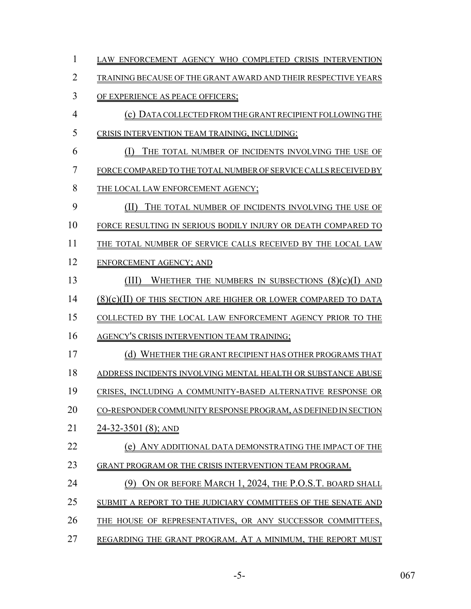| $\mathbf{1}$   | LAW ENFORCEMENT AGENCY WHO COMPLETED CRISIS INTERVENTION               |
|----------------|------------------------------------------------------------------------|
| $\overline{2}$ | TRAINING BECAUSE OF THE GRANT AWARD AND THEIR RESPECTIVE YEARS         |
| 3              | OF EXPERIENCE AS PEACE OFFICERS;                                       |
| $\overline{4}$ | (c) DATA COLLECTED FROM THE GRANT RECIPIENT FOLLOWING THE              |
| 5              | CRISIS INTERVENTION TEAM TRAINING, INCLUDING:                          |
| 6              | (I)<br>THE TOTAL NUMBER OF INCIDENTS INVOLVING THE USE OF              |
| $\overline{7}$ | FORCE COMPARED TO THE TOTAL NUMBER OF SERVICE CALLS RECEIVED BY        |
| 8              | THE LOCAL LAW ENFORCEMENT AGENCY;                                      |
| 9              | (II)<br>THE TOTAL NUMBER OF INCIDENTS INVOLVING THE USE OF             |
| 10             | FORCE RESULTING IN SERIOUS BODILY INJURY OR DEATH COMPARED TO          |
| 11             | THE TOTAL NUMBER OF SERVICE CALLS RECEIVED BY THE LOCAL LAW            |
| 12             | ENFORCEMENT AGENCY; AND                                                |
| 13             | WHETHER THE NUMBERS IN SUBSECTIONS $(8)(c)(I)$ AND<br>(III)            |
| 14             | <u>(8)(c)(II) OF THIS SECTION ARE HIGHER OR LOWER COMPARED TO DATA</u> |
| 15             | COLLECTED BY THE LOCAL LAW ENFORCEMENT AGENCY PRIOR TO THE             |
| 16             | <b>AGENCY'S CRISIS INTERVENTION TEAM TRAINING;</b>                     |
| 17             | (d) WHETHER THE GRANT RECIPIENT HAS OTHER PROGRAMS THAT                |
| 18             | ADDRESS INCIDENTS INVOLVING MENTAL HEALTH OR SUBSTANCE ABUSE           |
| 19             | CRISES, INCLUDING A COMMUNITY-BASED ALTERNATIVE RESPONSE OR            |
| 20             | CO-RESPONDER COMMUNITY RESPONSE PROGRAM, AS DEFINED IN SECTION         |
| 21             | <u>24-32-3501 (8); AND</u>                                             |
| 22             | (e)<br>ANY ADDITIONAL DATA DEMONSTRATING THE IMPACT OF THE             |
| 23             | GRANT PROGRAM OR THE CRISIS INTERVENTION TEAM PROGRAM.                 |
| 24             | ON OR BEFORE MARCH 1, 2024, THE P.O.S.T. BOARD SHALL                   |
| 25             | SUBMIT A REPORT TO THE JUDICIARY COMMITTEES OF THE SENATE AND          |
| 26             | THE HOUSE OF REPRESENTATIVES, OR ANY SUCCESSOR COMMITTEES,             |
| 27             | REGARDING THE GRANT PROGRAM. AT A MINIMUM, THE REPORT MUST             |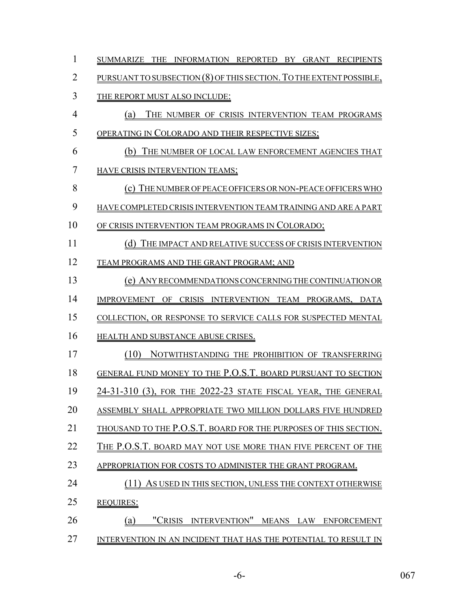| $\mathbf{1}$   | SUMMARIZE THE INFORMATION REPORTED BY GRANT RECIPIENTS              |
|----------------|---------------------------------------------------------------------|
| $\overline{2}$ | PURSUANT TO SUBSECTION (8) OF THIS SECTION. TO THE EXTENT POSSIBLE, |
| 3              | THE REPORT MUST ALSO INCLUDE:                                       |
| $\overline{4}$ | THE NUMBER OF CRISIS INTERVENTION TEAM PROGRAMS<br>(a)              |
| 5              | OPERATING IN COLORADO AND THEIR RESPECTIVE SIZES;                   |
| 6              | (b) THE NUMBER OF LOCAL LAW ENFORCEMENT AGENCIES THAT               |
| $\overline{7}$ | <b>HAVE CRISIS INTERVENTION TEAMS;</b>                              |
| 8              | (c) THE NUMBER OF PEACE OFFICERS OR NON-PEACE OFFICERS WHO          |
| 9              | HAVE COMPLETED CRISIS INTERVENTION TEAM TRAINING AND ARE A PART     |
| 10             | OF CRISIS INTERVENTION TEAM PROGRAMS IN COLORADO;                   |
| 11             | (d) THE IMPACT AND RELATIVE SUCCESS OF CRISIS INTERVENTION          |
| 12             | TEAM PROGRAMS AND THE GRANT PROGRAM; AND                            |
| 13             | (e) ANY RECOMMENDATIONS CONCERNING THE CONTINUATION OR              |
| 14             | IMPROVEMENT OF CRISIS INTERVENTION TEAM PROGRAMS, DATA              |
| 15             | COLLECTION, OR RESPONSE TO SERVICE CALLS FOR SUSPECTED MENTAL       |
| 16             | HEALTH AND SUBSTANCE ABUSE CRISES.                                  |
| 17             | (10)<br>NOTWITHSTANDING THE PROHIBITION OF TRANSFERRING             |
| 18             | GENERAL FUND MONEY TO THE P.O.S.T. BOARD PURSUANT TO SECTION        |
| 19             | 24-31-310 (3), FOR THE 2022-23 STATE FISCAL YEAR, THE GENERAL       |
| 20             | ASSEMBLY SHALL APPROPRIATE TWO MILLION DOLLARS FIVE HUNDRED         |
| 21             | THOUSAND TO THE P.O.S.T. BOARD FOR THE PURPOSES OF THIS SECTION.    |
| 22             | THE P.O.S.T. BOARD MAY NOT USE MORE THAN FIVE PERCENT OF THE        |
| 23             | APPROPRIATION FOR COSTS TO ADMINISTER THE GRANT PROGRAM.            |
| 24             | (11)<br>AS USED IN THIS SECTION, UNLESS THE CONTEXT OTHERWISE       |
| 25             | <b>REQUIRES:</b>                                                    |
| 26             | "CRISIS INTERVENTION" MEANS LAW ENFORCEMENT<br>(a)                  |
| 27             | INTERVENTION IN AN INCIDENT THAT HAS THE POTENTIAL TO RESULT IN     |

-6- 067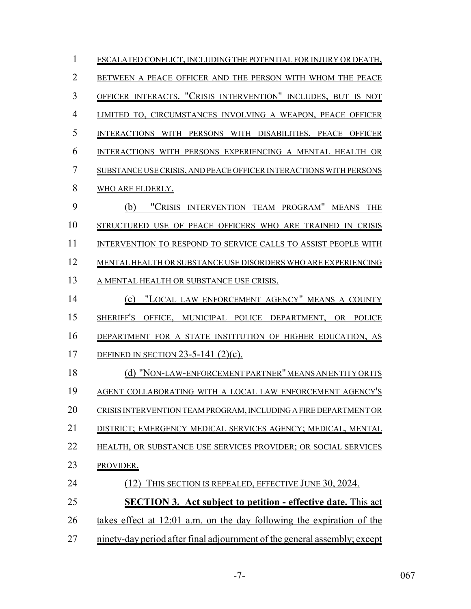| $\mathbf{1}$   | ESCALATED CONFLICT, INCLUDING THE POTENTIAL FOR INJURY OR DEATH,          |
|----------------|---------------------------------------------------------------------------|
| $\overline{2}$ | BETWEEN A PEACE OFFICER AND THE PERSON WITH WHOM THE PEACE                |
| 3              | OFFICER INTERACTS. "CRISIS INTERVENTION" INCLUDES, BUT IS NOT             |
| $\overline{4}$ | LIMITED TO, CIRCUMSTANCES INVOLVING A WEAPON, PEACE OFFICER               |
| 5              | INTERACTIONS WITH PERSONS WITH DISABILITIES, PEACE OFFICER                |
| 6              | INTERACTIONS WITH PERSONS EXPERIENCING A MENTAL HEALTH OR                 |
| 7              | SUBSTANCE USE CRISIS, AND PEACE OFFICER INTERACTIONS WITH PERSONS         |
| 8              | WHO ARE ELDERLY.                                                          |
| 9              | "CRISIS INTERVENTION TEAM PROGRAM" MEANS THE<br>(b)                       |
| 10             | STRUCTURED USE OF PEACE OFFICERS WHO ARE TRAINED IN CRISIS                |
| 11             | INTERVENTION TO RESPOND TO SERVICE CALLS TO ASSIST PEOPLE WITH            |
| 12             | MENTAL HEALTH OR SUBSTANCE USE DISORDERS WHO ARE EXPERIENCING             |
| 13             | A MENTAL HEALTH OR SUBSTANCE USE CRISIS.                                  |
| 14             | (c) "LOCAL LAW ENFORCEMENT AGENCY" MEANS A COUNTY                         |
| 15             | SHERIFF'S OFFICE, MUNICIPAL POLICE DEPARTMENT, OR POLICE                  |
| 16             | DEPARTMENT FOR A STATE INSTITUTION OF HIGHER EDUCATION, AS                |
| 17             | DEFINED IN SECTION 23-5-141 $(2)(c)$ .                                    |
| 18             | (d) "NON-LAW-ENFORCEMENT PARTNER" MEANS AN ENTITY OR ITS                  |
| 19             | AGENT COLLABORATING WITH A LOCAL LAW ENFORCEMENT AGENCY'S                 |
| 20             | CRISIS INTERVENTION TEAM PROGRAM, INCLUDING A FIRE DEPARTMENT OR          |
| 21             | DISTRICT; EMERGENCY MEDICAL SERVICES AGENCY; MEDICAL, MENTAL              |
| 22             | HEALTH, OR SUBSTANCE USE SERVICES PROVIDER; OR SOCIAL SERVICES            |
| 23             | PROVIDER.                                                                 |
| 24             | THIS SECTION IS REPEALED, EFFECTIVE JUNE 30, 2024.                        |
| 25             | <b>SECTION 3. Act subject to petition - effective date.</b> This act      |
| 26             | takes effect at 12:01 a.m. on the day following the expiration of the     |
| 27             | ninety-day period after final adjournment of the general assembly; except |